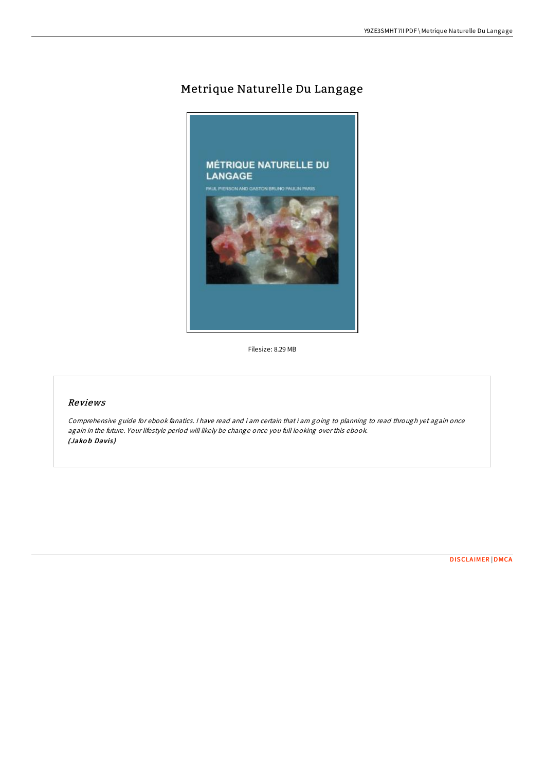## Metrique Naturelle Du Langage



Filesize: 8.29 MB

## Reviews

Comprehensive guide for ebook fanatics. <sup>I</sup> have read and i am certain that i am going to planning to read through yet again once again in the future. Your lifestyle period will likely be change once you full looking over this ebook. (Jakob Davis)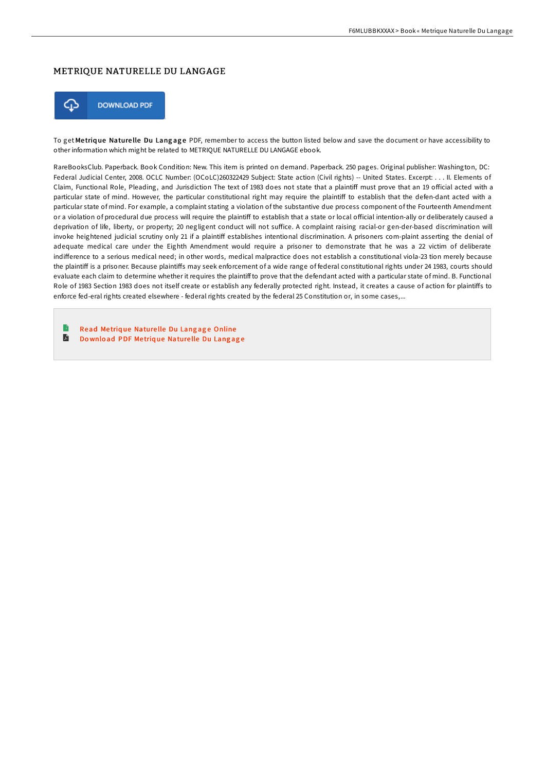## METRIQUE NATURELLE DU LANGAGE



To get Metrique Naturelle Du Langage PDF, remember to access the button listed below and save the document or have accessibility to other information which might be related to METRIQUE NATURELLE DU LANGAGE ebook.

RareBooksClub. Paperback. Book Condition: New. This item is printed on demand. Paperback. 250 pages. Original publisher: Washington, DC: Federal Judicial Center, 2008. OCLC Number: (OCoLC)260322429 Subject: State action (Civil rights) -- United States. Excerpt: . . . II. Elements of Claim, Functional Role, Pleading, and Jurisdiction The text of 1983 does not state that a plaintiff must prove that an 19 official acted with a particular state of mind. However, the particular constitutional right may require the plaintiff to establish that the defen-dant acted with a particular state of mind. For example, a complaint stating a violation of the substantive due process component of the Fourteenth Amendment or a violation of procedural due process will require the plaintiff to establish that a state or local official intention-ally or deliberately caused a deprivation of life, liberty, or property; 20 negligent conduct will not suffice. A complaint raising racial-or gen-der-based discrimination will invoke heightened judicial scrutiny only 21 if a plaintiff establishes intentional discrimination. A prisoners com-plaint asserting the denial of adequate medical care under the Eighth Amendment would require a prisoner to demonstrate that he was a 22 victim of deliberate indifference to a serious medical need; in other words, medical malpractice does not establish a constitutional viola-23 tion merely because the plaintiff is a prisoner. Because plaintiffs may seek enforcement of a wide range of federal constitutional rights under 24 1983, courts should evaluate each claim to determine whether it requires the plaintiff to prove that the defendant acted with a particular state of mind. B. Functional Role of 1983 Section 1983 does not itself create or establish any federally protected right. Instead, it creates a cause of action for plaintiffs to enforce fed-eral rights created elsewhere - federal rights created by the federal 25 Constitution or, in some cases,...

B Read Metrique [Nature](http://almighty24.tech/metrique-naturelle-du-langage.html)lle Du Langage Online  $\blacksquare$ Download PDF Metrique [Nature](http://almighty24.tech/metrique-naturelle-du-langage.html)lle Du Langage